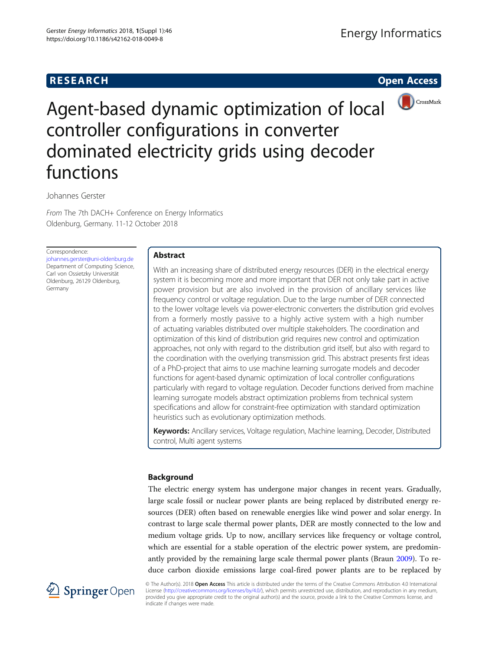# **RESEARCH RESEARCH CONSUMING ACCESS**



Agent-based dynamic optimization of local controller configurations in converter dominated electricity grids using decoder functions

Johannes Gerster

From The 7th DACH+ Conference on Energy Informatics Oldenburg, Germany. 11-12 October 2018

Correspondence:

[johannes.gerster@uni-oldenburg.de](mailto:johannes.gerster@uni-oldenburg.de) Department of Computing Science, Carl von Ossietzky Universität Oldenburg, 26129 Oldenburg, Germany

# Abstract

With an increasing share of distributed energy resources (DER) in the electrical energy system it is becoming more and more important that DER not only take part in active power provision but are also involved in the provision of ancillary services like frequency control or voltage regulation. Due to the large number of DER connected to the lower voltage levels via power-electronic converters the distribution grid evolves from a formerly mostly passive to a highly active system with a high number of actuating variables distributed over multiple stakeholders. The coordination and optimization of this kind of distribution grid requires new control and optimization approaches, not only with regard to the distribution grid itself, but also with regard to the coordination with the overlying transmission grid. This abstract presents first ideas of a PhD-project that aims to use machine learning surrogate models and decoder functions for agent-based dynamic optimization of local controller configurations particularly with regard to voltage regulation. Decoder functions derived from machine learning surrogate models abstract optimization problems from technical system specifications and allow for constraint-free optimization with standard optimization heuristics such as evolutionary optimization methods.

Keywords: Ancillary services, Voltage regulation, Machine learning, Decoder, Distributed control, Multi agent systems

# Background

The electric energy system has undergone major changes in recent years. Gradually, large scale fossil or nuclear power plants are being replaced by distributed energy resources (DER) often based on renewable energies like wind power and solar energy. In contrast to large scale thermal power plants, DER are mostly connected to the low and medium voltage grids. Up to now, ancillary services like frequency or voltage control, which are essential for a stable operation of the electric power system, are predominantly provided by the remaining large scale thermal power plants (Braun [2009\)](#page-6-0). To reduce carbon dioxide emissions large coal-fired power plants are to be replaced by



© The Author(s). 2018 Open Access This article is distributed under the terms of the Creative Commons Attribution 4.0 International License [\(http://creativecommons.org/licenses/by/4.0/](http://creativecommons.org/licenses/by/4.0/)), which permits unrestricted use, distribution, and reproduction in any medium, provided you give appropriate credit to the original author(s) and the source, provide a link to the Creative Commons license, and indicate if changes were made.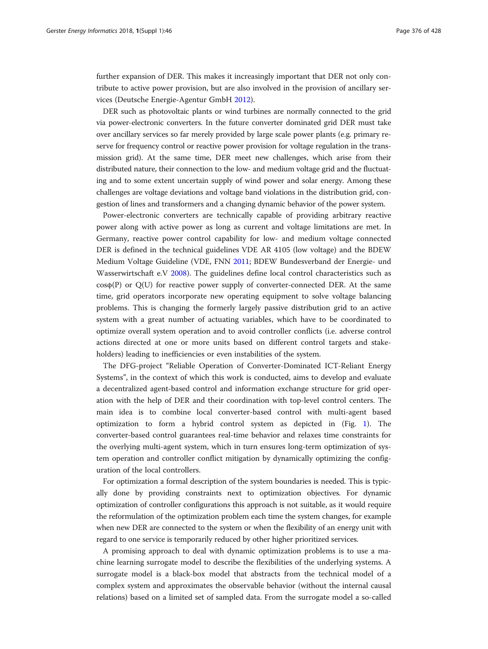further expansion of DER. This makes it increasingly important that DER not only contribute to active power provision, but are also involved in the provision of ancillary services (Deutsche Energie-Agentur GmbH [2012\)](#page-6-0).

DER such as photovoltaic plants or wind turbines are normally connected to the grid via power-electronic converters. In the future converter dominated grid DER must take over ancillary services so far merely provided by large scale power plants (e.g. primary reserve for frequency control or reactive power provision for voltage regulation in the transmission grid). At the same time, DER meet new challenges, which arise from their distributed nature, their connection to the low- and medium voltage grid and the fluctuating and to some extent uncertain supply of wind power and solar energy. Among these challenges are voltage deviations and voltage band violations in the distribution grid, congestion of lines and transformers and a changing dynamic behavior of the power system.

Power-electronic converters are technically capable of providing arbitrary reactive power along with active power as long as current and voltage limitations are met. In Germany, reactive power control capability for low- and medium voltage connected DER is defined in the technical guidelines VDE AR 4105 (low voltage) and the BDEW Medium Voltage Guideline (VDE, FNN [2011](#page-6-0); BDEW Bundesverband der Energie- und Wasserwirtschaft e.V [2008](#page-6-0)). The guidelines define local control characteristics such as  $cos\phi(P)$  or  $Q(U)$  for reactive power supply of converter-connected DER. At the same time, grid operators incorporate new operating equipment to solve voltage balancing problems. This is changing the formerly largely passive distribution grid to an active system with a great number of actuating variables, which have to be coordinated to optimize overall system operation and to avoid controller conflicts (i.e. adverse control actions directed at one or more units based on different control targets and stakeholders) leading to inefficiencies or even instabilities of the system.

The DFG-project "Reliable Operation of Converter-Dominated ICT-Reliant Energy Systems", in the context of which this work is conducted, aims to develop and evaluate a decentralized agent-based control and information exchange structure for grid operation with the help of DER and their coordination with top-level control centers. The main idea is to combine local converter-based control with multi-agent based optimization to form a hybrid control system as depicted in (Fig. [1](#page-2-0)). The converter-based control guarantees real-time behavior and relaxes time constraints for the overlying multi-agent system, which in turn ensures long-term optimization of system operation and controller conflict mitigation by dynamically optimizing the configuration of the local controllers.

For optimization a formal description of the system boundaries is needed. This is typically done by providing constraints next to optimization objectives. For dynamic optimization of controller configurations this approach is not suitable, as it would require the reformulation of the optimization problem each time the system changes, for example when new DER are connected to the system or when the flexibility of an energy unit with regard to one service is temporarily reduced by other higher prioritized services.

A promising approach to deal with dynamic optimization problems is to use a machine learning surrogate model to describe the flexibilities of the underlying systems. A surrogate model is a black-box model that abstracts from the technical model of a complex system and approximates the observable behavior (without the internal causal relations) based on a limited set of sampled data. From the surrogate model a so-called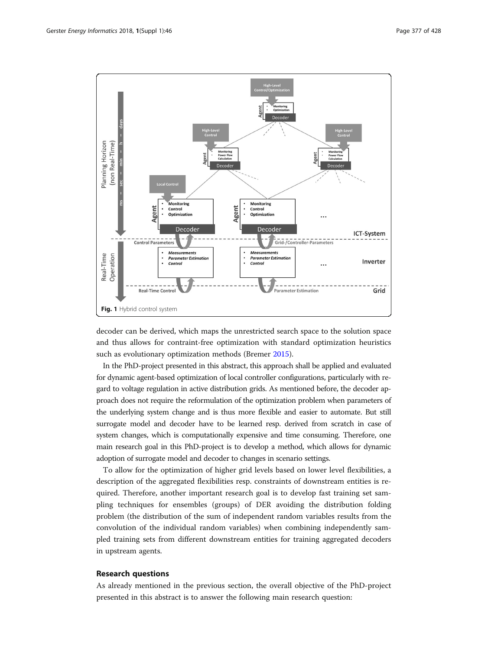<span id="page-2-0"></span>

decoder can be derived, which maps the unrestricted search space to the solution space and thus allows for contraint-free optimization with standard optimization heuristics such as evolutionary optimization methods (Bremer [2015](#page-6-0)).

In the PhD-project presented in this abstract, this approach shall be applied and evaluated for dynamic agent-based optimization of local controller configurations, particularly with regard to voltage regulation in active distribution grids. As mentioned before, the decoder approach does not require the reformulation of the optimization problem when parameters of the underlying system change and is thus more flexible and easier to automate. But still surrogate model and decoder have to be learned resp. derived from scratch in case of system changes, which is computationally expensive and time consuming. Therefore, one main research goal in this PhD-project is to develop a method, which allows for dynamic adoption of surrogate model and decoder to changes in scenario settings.

To allow for the optimization of higher grid levels based on lower level flexibilities, a description of the aggregated flexibilities resp. constraints of downstream entities is required. Therefore, another important research goal is to develop fast training set sampling techniques for ensembles (groups) of DER avoiding the distribution folding problem (the distribution of the sum of independent random variables results from the convolution of the individual random variables) when combining independently sampled training sets from different downstream entities for training aggregated decoders in upstream agents.

## Research questions

As already mentioned in the previous section, the overall objective of the PhD-project presented in this abstract is to answer the following main research question: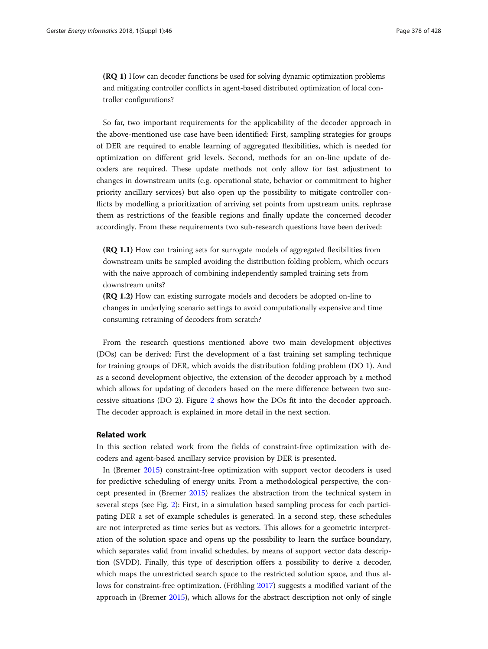(RQ 1) How can decoder functions be used for solving dynamic optimization problems and mitigating controller conflicts in agent-based distributed optimization of local controller configurations?

So far, two important requirements for the applicability of the decoder approach in the above-mentioned use case have been identified: First, sampling strategies for groups of DER are required to enable learning of aggregated flexibilities, which is needed for optimization on different grid levels. Second, methods for an on-line update of decoders are required. These update methods not only allow for fast adjustment to changes in downstream units (e.g. operational state, behavior or commitment to higher priority ancillary services) but also open up the possibility to mitigate controller conflicts by modelling a prioritization of arriving set points from upstream units, rephrase them as restrictions of the feasible regions and finally update the concerned decoder accordingly. From these requirements two sub-research questions have been derived:

(RQ 1.1) How can training sets for surrogate models of aggregated flexibilities from downstream units be sampled avoiding the distribution folding problem, which occurs with the naive approach of combining independently sampled training sets from downstream units?

(RQ 1.2) How can existing surrogate models and decoders be adopted on-line to changes in underlying scenario settings to avoid computationally expensive and time consuming retraining of decoders from scratch?

From the research questions mentioned above two main development objectives (DOs) can be derived: First the development of a fast training set sampling technique for training groups of DER, which avoids the distribution folding problem (DO 1). And as a second development objective, the extension of the decoder approach by a method which allows for updating of decoders based on the mere difference between two successive situations (DO 2). Figure [2](#page-4-0) shows how the DOs fit into the decoder approach. The decoder approach is explained in more detail in the next section.

## Related work

In this section related work from the fields of constraint-free optimization with decoders and agent-based ancillary service provision by DER is presented.

In (Bremer [2015](#page-6-0)) constraint-free optimization with support vector decoders is used for predictive scheduling of energy units. From a methodological perspective, the concept presented in (Bremer [2015\)](#page-6-0) realizes the abstraction from the technical system in several steps (see Fig. [2\)](#page-4-0): First, in a simulation based sampling process for each participating DER a set of example schedules is generated. In a second step, these schedules are not interpreted as time series but as vectors. This allows for a geometric interpretation of the solution space and opens up the possibility to learn the surface boundary, which separates valid from invalid schedules, by means of support vector data description (SVDD). Finally, this type of description offers a possibility to derive a decoder, which maps the unrestricted search space to the restricted solution space, and thus allows for constraint-free optimization. (Fröhling [2017](#page-6-0)) suggests a modified variant of the approach in (Bremer [2015\)](#page-6-0), which allows for the abstract description not only of single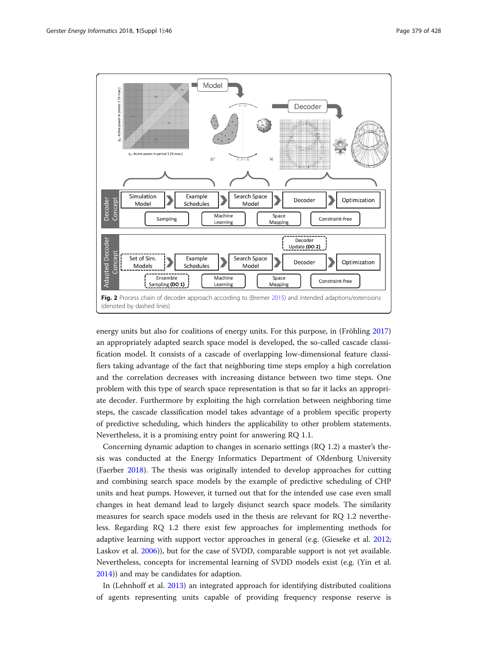<span id="page-4-0"></span>

energy units but also for coalitions of energy units. For this purpose, in (Fröhling [2017](#page-6-0)) an appropriately adapted search space model is developed, the so-called cascade classification model. It consists of a cascade of overlapping low-dimensional feature classifiers taking advantage of the fact that neighboring time steps employ a high correlation and the correlation decreases with increasing distance between two time steps. One problem with this type of search space representation is that so far it lacks an appropriate decoder. Furthermore by exploiting the high correlation between neighboring time steps, the cascade classification model takes advantage of a problem specific property of predictive scheduling, which hinders the applicability to other problem statements. Nevertheless, it is a promising entry point for answering RQ 1.1.

Concerning dynamic adaption to changes in scenario settings (RQ 1.2) a master's thesis was conducted at the Energy Informatics Department of Oldenburg University (Faerber [2018](#page-6-0)). The thesis was originally intended to develop approaches for cutting and combining search space models by the example of predictive scheduling of CHP units and heat pumps. However, it turned out that for the intended use case even small changes in heat demand lead to largely disjunct search space models. The similarity measures for search space models used in the thesis are relevant for RQ 1.2 nevertheless. Regarding RQ 1.2 there exist few approaches for implementing methods for adaptive learning with support vector approaches in general (e.g. (Gieseke et al. [2012](#page-6-0); Laskov et al. [2006\)](#page-6-0)), but for the case of SVDD, comparable support is not yet available. Nevertheless, concepts for incremental learning of SVDD models exist (e.g. (Yin et al. [2014](#page-6-0))) and may be candidates for adaption.

In (Lehnhoff et al. [2013](#page-6-0)) an integrated approach for identifying distributed coalitions of agents representing units capable of providing frequency response reserve is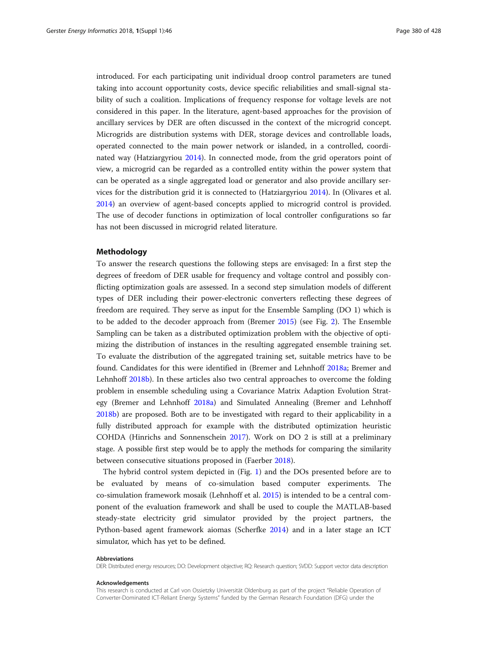introduced. For each participating unit individual droop control parameters are tuned taking into account opportunity costs, device specific reliabilities and small-signal stability of such a coalition. Implications of frequency response for voltage levels are not considered in this paper. In the literature, agent-based approaches for the provision of ancillary services by DER are often discussed in the context of the microgrid concept. Microgrids are distribution systems with DER, storage devices and controllable loads, operated connected to the main power network or islanded, in a controlled, coordinated way (Hatziargyriou [2014\)](#page-6-0). In connected mode, from the grid operators point of view, a microgrid can be regarded as a controlled entity within the power system that can be operated as a single aggregated load or generator and also provide ancillary services for the distribution grid it is connected to (Hatziargyriou [2014\)](#page-6-0). In (Olivares et al. [2014](#page-6-0)) an overview of agent-based concepts applied to microgrid control is provided. The use of decoder functions in optimization of local controller configurations so far has not been discussed in microgrid related literature.

# Methodology

To answer the research questions the following steps are envisaged: In a first step the degrees of freedom of DER usable for frequency and voltage control and possibly conflicting optimization goals are assessed. In a second step simulation models of different types of DER including their power-electronic converters reflecting these degrees of freedom are required. They serve as input for the Ensemble Sampling (DO 1) which is to be added to the decoder approach from (Bremer [2015](#page-6-0)) (see Fig. [2](#page-4-0)). The Ensemble Sampling can be taken as a distributed optimization problem with the objective of optimizing the distribution of instances in the resulting aggregated ensemble training set. To evaluate the distribution of the aggregated training set, suitable metrics have to be found. Candidates for this were identified in (Bremer and Lehnhoff [2018a;](#page-6-0) Bremer and Lehnhoff [2018b\)](#page-6-0). In these articles also two central approaches to overcome the folding problem in ensemble scheduling using a Covariance Matrix Adaption Evolution Strategy (Bremer and Lehnhoff [2018a\)](#page-6-0) and Simulated Annealing (Bremer and Lehnhoff [2018b](#page-6-0)) are proposed. Both are to be investigated with regard to their applicability in a fully distributed approach for example with the distributed optimization heuristic COHDA (Hinrichs and Sonnenschein [2017](#page-6-0)). Work on DO 2 is still at a preliminary stage. A possible first step would be to apply the methods for comparing the similarity between consecutive situations proposed in (Faerber [2018\)](#page-6-0).

The hybrid control system depicted in (Fig. [1](#page-2-0)) and the DOs presented before are to be evaluated by means of co-simulation based computer experiments. The co-simulation framework mosaik (Lehnhoff et al. [2015](#page-6-0)) is intended to be a central component of the evaluation framework and shall be used to couple the MATLAB-based steady-state electricity grid simulator provided by the project partners, the Python-based agent framework aiomas (Scherfke [2014](#page-6-0)) and in a later stage an ICT simulator, which has yet to be defined.

#### Abbreviations

DER: Distributed energy resources; DO: Development objective; RQ: Research question; SVDD: Support vector data description

#### Acknowledgements

This research is conducted at Carl von Ossietzky Universität Oldenburg as part of the project "Reliable Operation of Converter-Dominated ICT-Reliant Energy Systems" funded by the German Research Foundation (DFG) under the